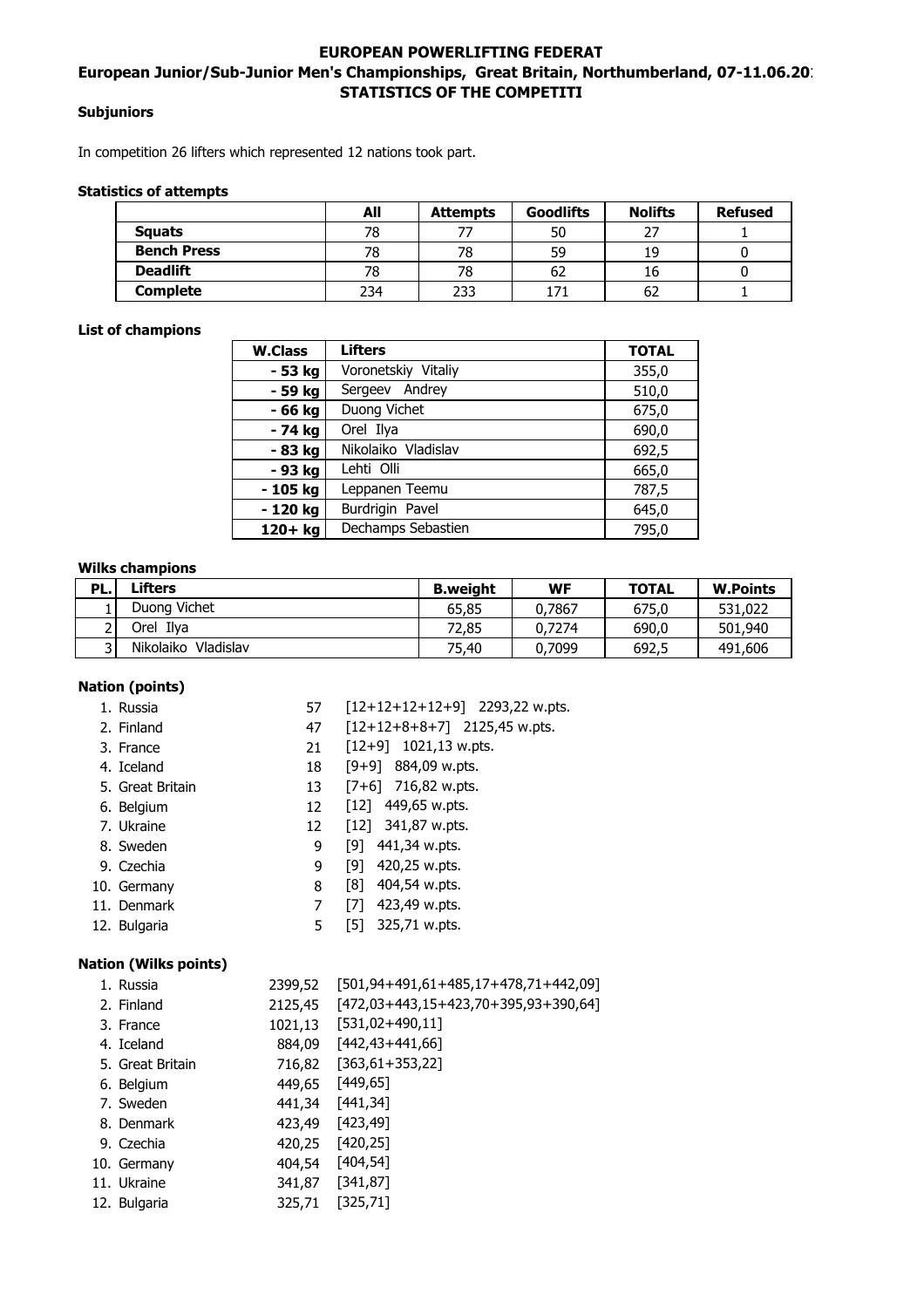# **EUROPEAN POWERLIFTING FEDERAT** European Junior/Sub-Junior Men's Championships, Great Britain, Northumberland, 07-11.06.201 **STATISTICS OF THE COMPETITI**

# **Subjuniors**

In competition 26 lifters which represented 12 nations took part.

# **Statistics of attempts**

|                    | All | <b>Attempts</b> | <b>Goodlifts</b> | <b>Nolifts</b> | <b>Refused</b> |
|--------------------|-----|-----------------|------------------|----------------|----------------|
| <b>Squats</b>      | 78  |                 | 50               | רר             |                |
| <b>Bench Press</b> | 78  | 78              | 59               | 19             |                |
| <b>Deadlift</b>    | 78  | 78              | 62               | 10             |                |
| <b>Complete</b>    | 234 | 233             | 171              | 62             |                |

# **List of champions**

| <b>W.Class</b>             | <b>Lifters</b>      | <b>TOTAL</b> |
|----------------------------|---------------------|--------------|
| - 53 kg                    | Voronetskiy Vitaliy | 355,0        |
| - 59 kg                    | Sergeev Andrey      | 510,0        |
| - 66 kg                    | Duong Vichet        | 675,0        |
| - 74 kg                    | Orel Ilya           | 690,0        |
| - 83 kg                    | Nikolaiko Vladislav | 692,5        |
| - 93 kg                    | Lehti Olli          | 665,0        |
| Leppanen Teemu<br>- 105 kg |                     | 787,5        |
| - 120 kg                   | Burdrigin Pavel     | 645,0        |
| $120+$ kg                  | Dechamps Sebastien  | 795.0        |

#### **Wilks champions**

| PL. | Lifters                | <b>B.weight</b> | WF     | <b>TOTAL</b> | <b>W.Points</b> |
|-----|------------------------|-----------------|--------|--------------|-----------------|
|     | Duong Vichet           | 65,85           | 0.7867 | 675.0        | 531,022         |
|     | Orel Ilva              | 72.85           | 0.7274 | 690.0        | 501,940         |
|     | Nikolaiko<br>Vladislav | 75.40           | 0,7099 | 692,5        | 491,606         |

# **Nation (points)**

| 1. Russia                    | 57              | $[12+12+12+12+9]$ 2293,22 w.pts.             |
|------------------------------|-----------------|----------------------------------------------|
| 2. Finland                   | 47              | $[12+12+8+8+7]$ 2125,45 w.pts.               |
| 3. France                    | 21              | $[12+9]$ 1021,13 w.pts.                      |
| 4. Iceland                   | 18              | $[9+9]$ 884,09 w.pts.                        |
| 5. Great Britain             | 13              | $[7+6]$ 716,82 w.pts.                        |
| 6. Belgium                   | 12              | $[12]$ 449,65 w.pts.                         |
| 7. Ukraine                   | 12              | $[12]$ 341,87 w.pts.                         |
| 8. Sweden                    | 9               | [9] $441,34$ w.pts.                          |
| 9. Czechia                   | 9               | $[9]$ 420,25 w.pts.                          |
| 10. Germany                  | 8               | $[8]$ 404,54 w.pts.                          |
| 11. Denmark                  | 7               | $[7]$ 423,49 w.pts.                          |
| 12. Bulgaria                 | 5               | [5] $325,71$ w.pts.                          |
|                              |                 |                                              |
| <b>Nation (Wilks points)</b> |                 |                                              |
| 1. Russia                    |                 | 2399,52 [501,94+491,61+485,17+478,71+442,09] |
| 2. Finland                   |                 | 2125,45 [472,03+443,15+423,70+395,93+390,64] |
| 3. France                    |                 | 1021,13 [531,02+490,11]                      |
| 4. Iceland                   |                 | 884,09 [442,43+441,66]                       |
| 5. Great Britain             |                 | 716,82 [363,61+353,22]                       |
| 6. Belgium                   | 449,65 [449,65] |                                              |
| 7. Sweden                    | 441,34 [441,34] |                                              |
| 8. Denmark                   | 423,49 [423,49] |                                              |
| 9. Czechia                   | 420,25 [420,25] |                                              |
| 10. Germany                  | 404,54 [404,54] |                                              |
| 11. Ukraine                  | 341,87 [341,87] |                                              |
| 12. Bulgaria                 | 325,71          | [325, 71]                                    |